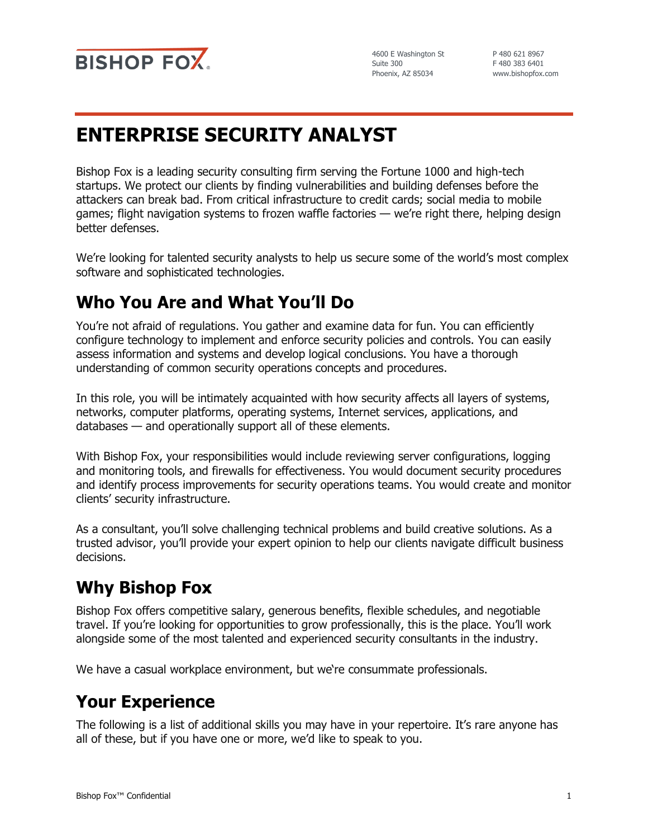

4600 E Washington St Suite 300 Phoenix, AZ 85034

P 480 621 8967 F 480 383 6401 www.bishopfox.com

# **ENTERPRISE SECURITY ANALYST**

Bishop Fox is a leading security consulting firm serving the Fortune 1000 and high-tech startups. We protect our clients by finding vulnerabilities and building defenses before the attackers can break bad. From critical infrastructure to credit cards; social media to mobile games; flight navigation systems to frozen waffle factories — we're right there, helping design better defenses.

We're looking for talented security analysts to help us secure some of the world's most complex software and sophisticated technologies.

## **Who You Are and What You'll Do**

You're not afraid of regulations. You gather and examine data for fun. You can efficiently configure technology to implement and enforce security policies and controls. You can easily assess information and systems and develop logical conclusions. You have a thorough understanding of common security operations concepts and procedures.

In this role, you will be intimately acquainted with how security affects all layers of systems, networks, computer platforms, operating systems, Internet services, applications, and databases — and operationally support all of these elements.

With Bishop Fox, your responsibilities would include reviewing server configurations, logging and monitoring tools, and firewalls for effectiveness. You would document security procedures and identify process improvements for security operations teams. You would create and monitor clients' security infrastructure.

As a consultant, you'll solve challenging technical problems and build creative solutions. As a trusted advisor, you'll provide your expert opinion to help our clients navigate difficult business decisions.

### **Why Bishop Fox**

Bishop Fox offers competitive salary, generous benefits, flexible schedules, and negotiable travel. If you're looking for opportunities to grow professionally, this is the place. You'll work alongside some of the most talented and experienced security consultants in the industry.

We have a casual workplace environment, but we're consummate professionals.

### **Your Experience**

The following is a list of additional skills you may have in your repertoire. It's rare anyone has all of these, but if you have one or more, we'd like to speak to you.